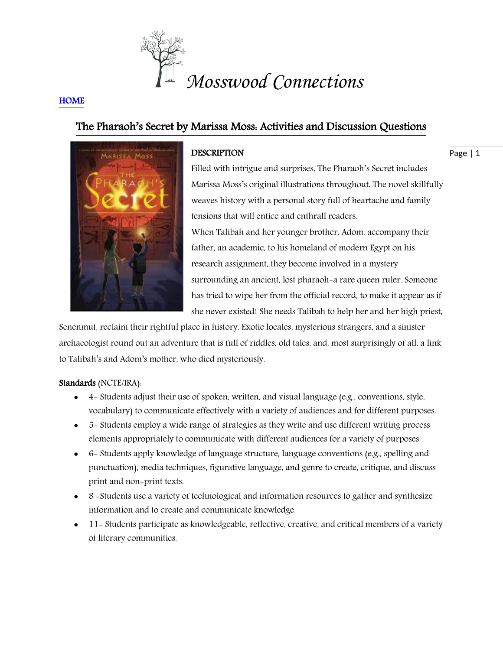

# **HOME**

# The Pharaoh's Secret by Marissa Moss: Activities and Discussion Questions



# **DESCRIPTION**

Page | 1

Filled with intrigue and surprises, The Pharaoh's Secret includes Marissa Moss's original illustrations throughout. The novel skillfully weaves history with a personal story full of heartache and family tensions that will entice and enthrall readers. When Talibah and her younger brother, Adom, accompany their father, an academic, to his homeland of modern Egypt on his research assignment, they become involved in a mystery surrounding an ancient, lost pharaoh-a rare queen ruler. Someone has tried to wipe her from the official record, to make it appear as if she never existed! She needs Talibah to help her and her high priest,

Senenmut, reclaim their rightful place in history. Exotic locales, mysterious strangers, and a sinister archaeologist round out an adventure that is full of riddles, old tales, and, most surprisingly of all, a link to Talibah's and Adom's mother, who died mysteriously.

# Standards (NCTE/IRA):

- $\bullet$  4 Students adjust their use of spoken, written, and visual language (e.g., conventions, style, vocabulary) to communicate effectively with a variety of audiences and for different purposes.
- 5- Students employ a wide range of strategies as they write and use different writing process elements appropriately to communicate with different audiences for a variety of purposes.
- 6- Students apply knowledge of language structure, language conventions (e.g., spelling and punctuation), media techniques, figurative language, and genre to create, critique, and discuss print and non-print texts.
- 8 -Students use a variety of technological and information resources to gather and synthesize information and to create and communicate knowledge.
- 11- Students participate as knowledgeable, reflective, creative, and critical members of a variety of literary communities.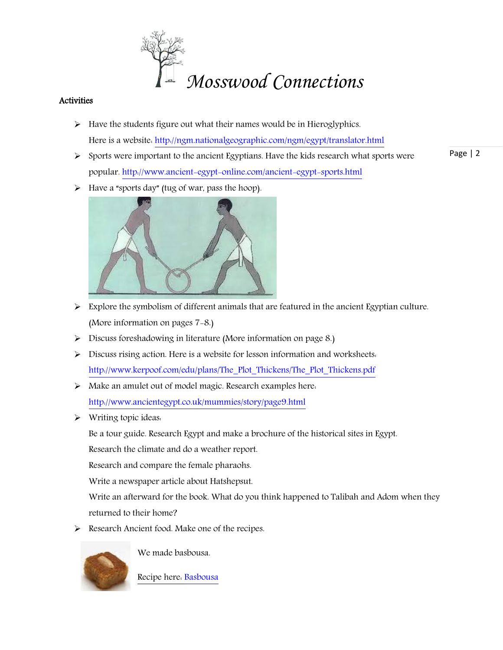

# **Activities**

- $\triangleright$  Have the students figure out what their names would be in Hieroglyphics. Here is a website: <http://ngm.nationalgeographic.com/ngm/egypt/translator.html>
- Page | 2  $\triangleright$  Sports were important to the ancient Egyptians. Have the kids research what sports were popular[. http://www.ancient-egypt-online.com/ancient-egypt-sports.html](http://www.ancient-egypt-online.com/ancient-egypt-sports.html)
- $\triangleright$  Have a "sports day" (tug of war, pass the hoop).



- $\triangleright$  Explore the symbolism of different animals that are featured in the ancient Egyptian culture. (More information on pages 7-8.)
- Discuss foreshadowing in literature (More information on page 8.)
- $\triangleright$  Discuss rising action. Here is a website for lesson information and worksheets. [http://www.kerpoof.com/edu/plans/The\\_Plot\\_Thickens/The\\_Plot\\_Thickens.pdf](http://www.kerpoof.com/edu/plans/The_Plot_Thickens/The_Plot_Thickens.pdf)
- Make an amulet out of model magic. Research examples here: <http://www.ancientegypt.co.uk/mummies/story/page9.html>
- Writing topic ideas:

Be a tour guide. Research Egypt and make a brochure of the historical sites in Egypt.

Research the climate and do a weather report.

Research and compare the female pharaohs.

Write a newspaper article about Hatshepsut.

Write an afterward for the book. What do you think happened to Talibah and Adom when they returned to their home?

Research Ancient food. Make one of the recipes.



We made basbousa.

[Recipe here: Basbousa](Recipe%20here:%20http:/www.food.com/recipe/basbousa-1576-1587-1576-1608-1587-1577-12957)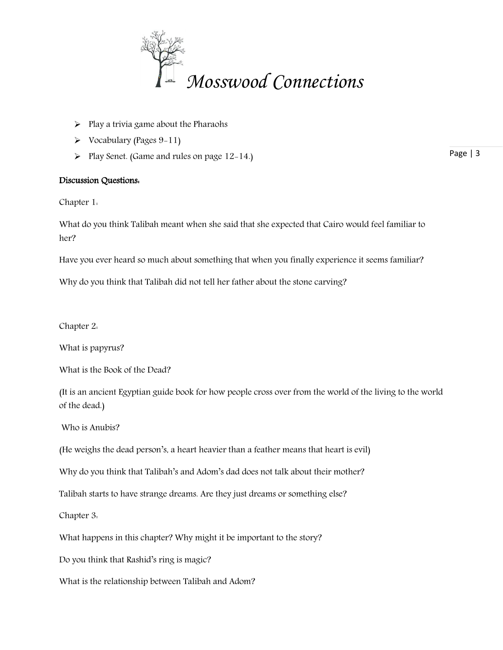

- $\triangleright$  Play a trivia game about the Pharaohs
- $\triangleright$  Vocabulary (Pages 9-11)
- $\triangleright$  Play Senet. (Game and rules on page 12-14.)

# Discussion Questions:

Chapter 1:

What do you think Talibah meant when she said that she expected that Cairo would feel familiar to her?

Have you ever heard so much about something that when you finally experience it seems familiar?

Why do you think that Talibah did not tell her father about the stone carving?

Chapter 2:

What is papyrus?

What is the Book of the Dead?

(It is an ancient Egyptian guide book for how people cross over from the world of the living to the world of the dead.)

Who is Anubis?

(He weighs the dead person's, a heart heavier than a feather means that heart is evil)

Why do you think that Talibah's and Adom's dad does not talk about their mother?

Talibah starts to have strange dreams. Are they just dreams or something else?

Chapter 3:

What happens in this chapter? Why might it be important to the story?

Do you think that Rashid's ring is magic?

What is the relationship between Talibah and Adom?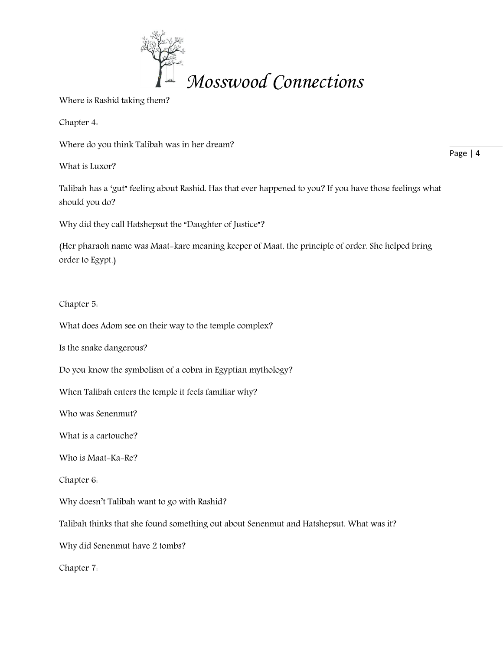

Where is Rashid taking them?

Chapter 4:

Where do you think Talibah was in her dream?

What is Luxor?

Page | 4

Talibah has a 'gut" feeling about Rashid. Has that ever happened to you? If you have those feelings what should you do?

Why did they call Hatshepsut the "Daughter of Justice"?

(Her pharaoh name was Maat-kare meaning keeper of Maat, the principle of order. She helped bring order to Egypt.)

Chapter 5:

What does Adom see on their way to the temple complex?

Is the snake dangerous?

Do you know the symbolism of a cobra in Egyptian mythology?

When Talibah enters the temple it feels familiar why?

Who was Senenmut?

What is a cartouche?

Who is Maat-Ka-Re?

Chapter 6:

Why doesn't Talibah want to go with Rashid?

Talibah thinks that she found something out about Senenmut and Hatshepsut. What was it?

Why did Senenmut have 2 tombs?

Chapter 7: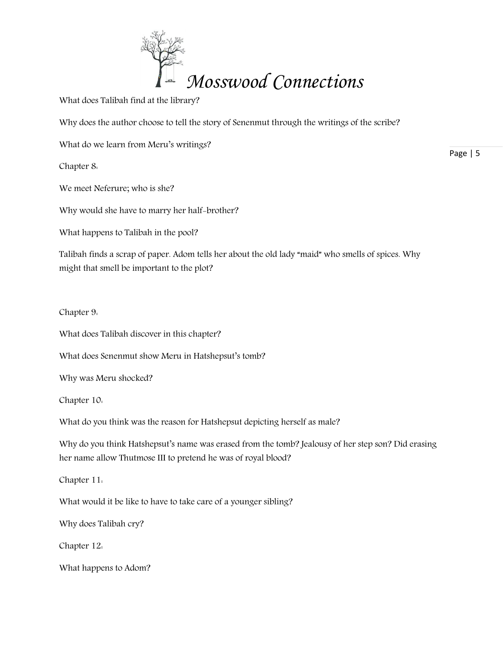

What does Talibah find at the library?

Why does the author choose to tell the story of Senenmut through the writings of the scribe?

What do we learn from Meru's writings?

Chapter 8:

We meet Neferure; who is she?

Why would she have to marry her half-brother?

What happens to Talibah in the pool?

Talibah finds a scrap of paper. Adom tells her about the old lady "maid" who smells of spices. Why might that smell be important to the plot?

Chapter 9:

What does Talibah discover in this chapter?

What does Senenmut show Meru in Hatshepsut's tomb?

Why was Meru shocked?

Chapter 10:

What do you think was the reason for Hatshepsut depicting herself as male?

Why do you think Hatshepsut's name was erased from the tomb? Jealousy of her step son? Did erasing her name allow Thutmose III to pretend he was of royal blood?

Chapter 11:

What would it be like to have to take care of a younger sibling?

Why does Talibah cry?

Chapter 12:

What happens to Adom?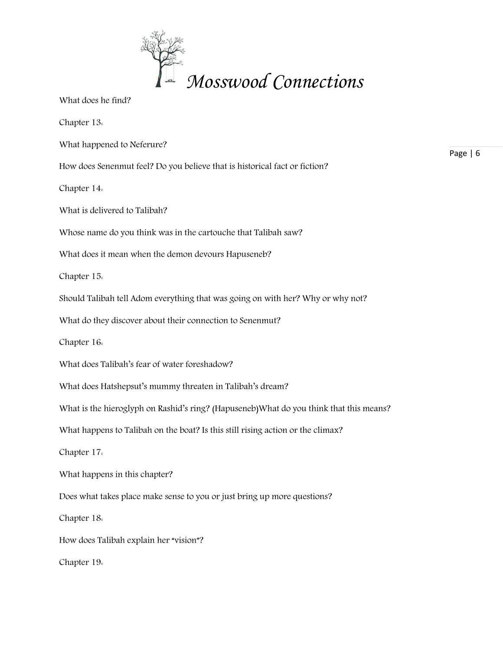

What does he find?

Chapter 13:

What happened to Neferure?

How does Senenmut feel? Do you believe that is historical fact or fiction?

Chapter 14:

What is delivered to Talibah?

Whose name do you think was in the cartouche that Talibah saw?

What does it mean when the demon devours Hapuseneb?

Chapter 15:

Should Talibah tell Adom everything that was going on with her? Why or why not?

What do they discover about their connection to Senenmut?

Chapter 16:

What does Talibah's fear of water foreshadow?

What does Hatshepsut's mummy threaten in Talibah's dream?

What is the hieroglyph on Rashid's ring? (Hapuseneb)What do you think that this means?

What happens to Talibah on the boat? Is this still rising action or the climax?

Chapter 17:

What happens in this chapter?

Does what takes place make sense to you or just bring up more questions?

Chapter 18:

How does Talibah explain her "vision"?

Chapter 19: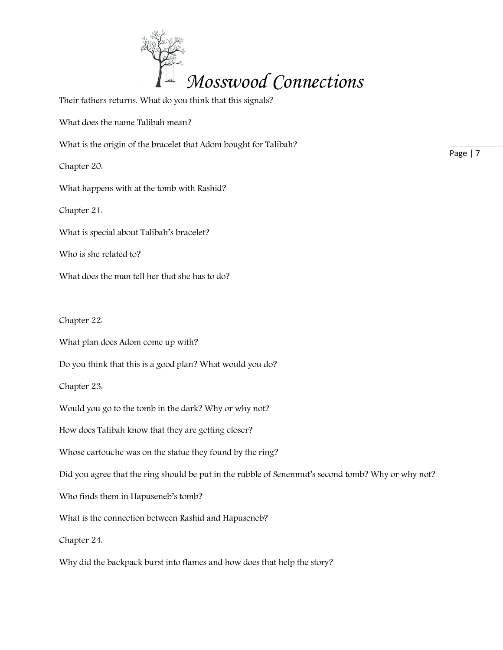

Their fathers returns. What do you think that this signals? What does the name Talibah mean? What is the origin of the bracelet that Adom bought for Talibah? Chapter 20: What happens with at the tomb with Rashid? Chapter 21: What is special about Talibah's bracelet? Who is she related to? What does the man tell her that she has to do? Chapter 22: What plan does Adom come up with? Do you think that this is a good plan? What would you do?

Chapter 23:

Would you go to the tomb in the dark? Why or why not?

How does Talibah know that they are getting closer?

Whose cartouche was on the statue they found by the ring?

Did you agree that the ring should be put in the rubble of Senenmut's second tomb? Why or why not?

Who finds them in Hapuseneb's tomb?

What is the connection between Rashid and Hapuseneb?

Chapter 24:

Why did the backpack burst into flames and how does that help the story?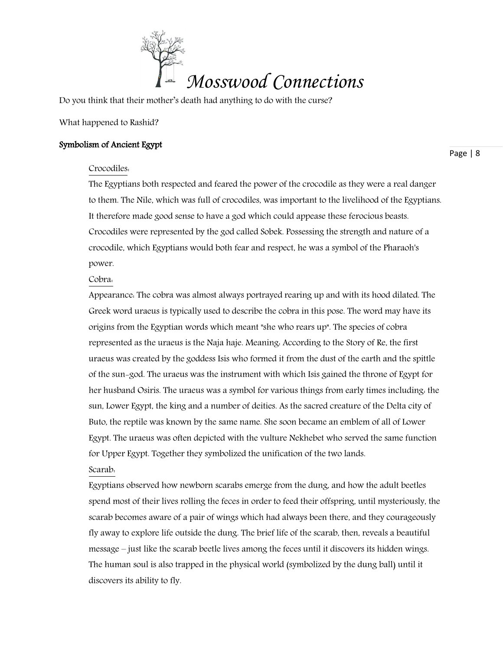

Do you think that their mother's death had anything to do with the curse?

What happened to Rashid?

## Symbolism of Ancient Egypt

Page | 8

## Crocodiles:

The Egyptians both respected and feared the power of the crocodile as they were a real danger to them. The Nile, which was full of crocodiles, was important to the livelihood of the Egyptians. It therefore made good sense to have a god which could appease these ferocious beasts. Crocodiles were represented by the god called Sobek. Possessing the strength and nature of a crocodile, which Egyptians would both fear and respect, he was a symbol of the Pharaoh's power.

Cobra:

Appearance: The cobra was almost always portrayed rearing up and with its hood dilated. The Greek word uraeus is typically used to describe the cobra in this pose. The word may have its origins from the Egyptian words which meant "she who rears up". The species of cobra represented as the uraeus is the Naja haje. Meaning: According to the Story of Re, the first uraeus was created by the goddess Isis who formed it from the dust of the earth and the spittle of the sun-god. The uraeus was the instrument with which Isis gained the throne of Egypt for her husband Osiris. The uraeus was a symbol for various things from early times including: the sun, Lower Egypt, the king and a number of deities. As the sacred creature of the Delta city of Buto, the reptile was known by the same name. She soon became an emblem of all of Lower Egypt. The uraeus was often depicted with the vulture Nekhebet who served the same function for Upper Egypt. Together they symbolized the unification of the two lands. Scarab:

Egyptians observed how newborn scarabs emerge from the dung, and how the adult beetles spend most of their lives rolling the feces in order to feed their offspring, until mysteriously, the scarab becomes aware of a pair of wings which had always been there, and they courageously fly away to explore life outside the dung. The brief life of the scarab, then, reveals a beautiful message – just like the scarab beetle lives among the feces until it discovers its hidden wings. The human soul is also trapped in the physical world (symbolized by the dung ball) until it discovers its ability to fly.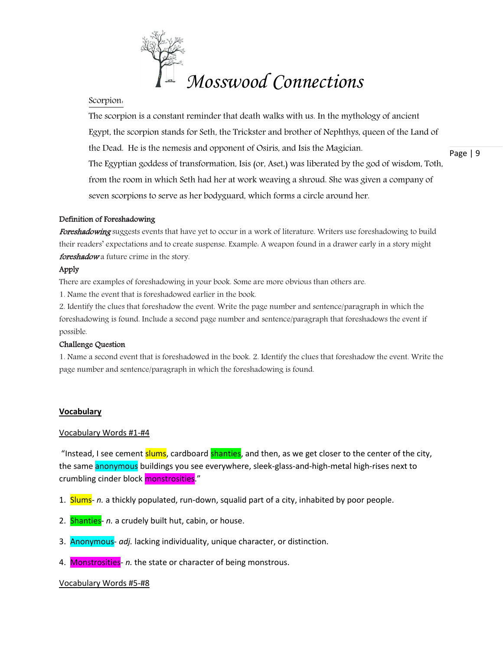

#### Scorpion:

Page | 9 The scorpion is a constant reminder that death walks with us. In the mythology of ancient Egypt, the scorpion stands for Seth, the Trickster and brother of Nephthys, queen of the Land of the Dead. He is the nemesis and opponent of Osiris, and Isis the Magician. The Egyptian goddess of transformation, Isis (or, Aset,) was liberated by the god of wisdom, Toth, from the room in which Seth had her at work weaving a shroud. She was given a company of seven scorpions to serve as her bodyguard, which forms a circle around her.

#### Definition of Foreshadowing

Foreshadowing suggests events that have yet to occur in a work of literature. Writers use foreshadowing to build their readers' expectations and to create suspense. Example: A weapon found in a drawer early in a story might foreshadow a future crime in the story.

#### Apply

There are examples of foreshadowing in your book. Some are more obvious than others are.

1. Name the event that is foreshadowed earlier in the book.

2. Identify the clues that foreshadow the event. Write the page number and sentence/paragraph in which the foreshadowing is found. Include a second page number and sentence/paragraph that foreshadows the event if possible.

#### Challenge Question

1. Name a second event that is foreshadowed in the book. 2. Identify the clues that foreshadow the event. Write the page number and sentence/paragraph in which the foreshadowing is found.

## **Vocabulary**

#### Vocabulary Words #1-#4

"Instead, I see cement slums, cardboard shanties, and then, as we get closer to the center of the city, the same anonymous buildings you see everywhere, sleek-glass-and-high-metal high-rises next to crumbling cinder block monstrosities."

- 1. Slums- *n.* a thickly populated, run-down, squalid part of a city, inhabited by poor people.
- 2. Shanties- *n.* a crudely built hut, cabin, or house.
- 3. Anonymous- *adj.* lacking individuality, unique character, or distinction.
- 4. Monstrosities- *n.* the state or character of being monstrous.

#### Vocabulary Words #5-#8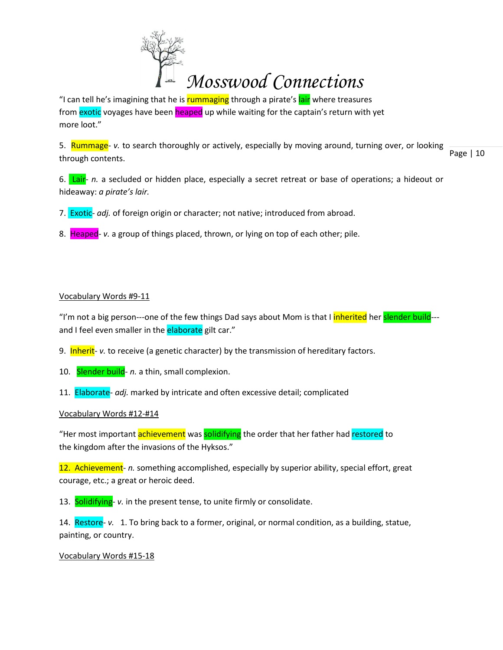

"I can tell he's imagining that he is **rummaging** through a pirate's lair where treasures from exotic voyages have been heaped up while waiting for the captain's return with yet more loot."

Page | 10 5. Rummage- *v.* to search thoroughly or actively, especially by moving around, turning over, or looking through contents.

6. Lair- *n.* a secluded or hidden place, especially a secret retreat or base of operations; a hideout or hideaway: *a pirate's lair.* 

- 7. Exotic- *adj.* of foreign origin or character; not native; introduced from abroad.
- 8. Heaped- *v.* a group of things placed, thrown, or lying on top of each other; pile.

## Vocabulary Words #9-11

"I'm not a big person---one of the few things Dad says about Mom is that I *inherited* her slender build--and I feel even smaller in the elaborate gilt car."

- 9. Inherit- *v.* to receive (a genetic character) by the transmission of hereditary factors.
- 10. Slender build- *n.* a thin, small complexion.
- 11. Elaborate- *adj.* marked by intricate and often excessive detail; complicated

#### Vocabulary Words #12-#14

"Her most important achievement was solidifying the order that her father had restored to the kingdom after the invasions of the Hyksos."

12. Achievement- *n.* something accomplished, especially by superior ability, special effort, great courage, etc.; a great or heroic deed.

13. Solidifying- *v.* in the present tense, to unite firmly or consolidate.

14. Restore- *v.* 1. To bring back to a former, original, or normal condition, as a building, statue, painting, or country.

#### Vocabulary Words #15-18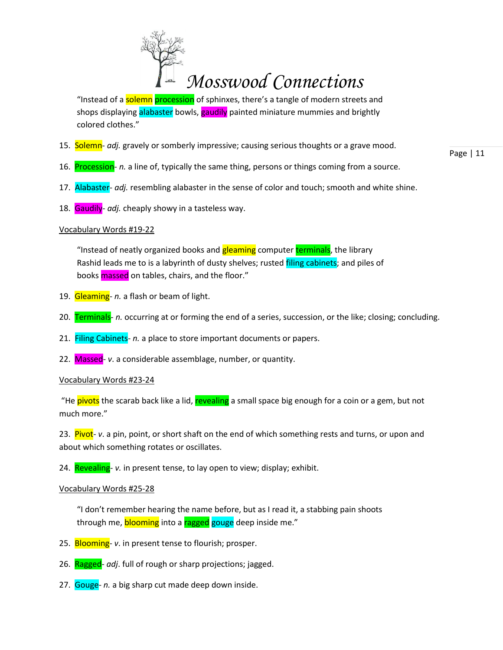

"Instead of a solemn procession of sphinxes, there's a tangle of modern streets and shops displaying alabaster bowls, gaudily painted miniature mummies and brightly colored clothes."

- 15. Solemn- *adj.* gravely or somberly impressive; causing serious thoughts or a grave mood.
- 16. Procession- *n.* a line of, typically the same thing, persons or things coming from a source.
- 17. Alabaster- *adj.* resembling alabaster in the sense of color and touch; smooth and white shine.
- 18. Gaudily- *adj.* cheaply showy in a tasteless way.

#### Vocabulary Words #19-22

"Instead of neatly organized books and **gleaming** computer terminals, the library Rashid leads me to is a labyrinth of dusty shelves; rusted filing cabinets; and piles of books massed on tables, chairs, and the floor."

- 19. Gleaming- *n.* a flash or beam of light.
- 20. Terminals- *n.* occurring at or forming the end of a series, succession, or the like; closing; concluding.
- 21. Filing Cabinets- *n.* a place to store important documents or papers.
- 22. Massed- *v*. a considerable assemblage, number, or quantity.

#### Vocabulary Words #23-24

"He pivots the scarab back like a lid, revealing a small space big enough for a coin or a gem, but not much more."

23. Pivot- *v*. a pin, point, or short shaft on the end of which something rests and turns, or upon and about which something rotates or oscillates.

24. Revealing- *v.* in present tense, to lay open to view; display; exhibit.

#### Vocabulary Words #25-28

"I don't remember hearing the name before, but as I read it, a stabbing pain shoots through me, blooming into a ragged gouge deep inside me."

- 25. Blooming- *v*. in present tense to flourish; prosper.
- 26. Ragged- *adj*. full of rough or sharp projections; jagged.
- 27. Gouge- *n.* a big sharp cut made deep down inside.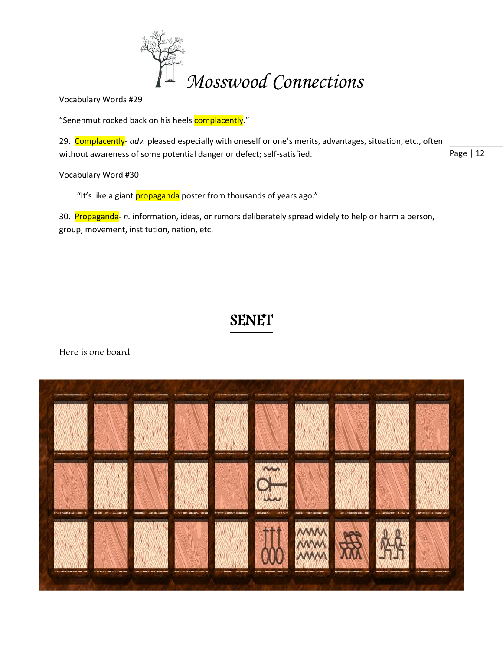

Vocabulary Words #29

"Senenmut rocked back on his heels **complacently**."

Page | 12 29. Complacently- *adv.* pleased especially with oneself or one's merits, advantages, situation, etc., often without awareness of some potential danger or defect; self-satisfied.

# Vocabulary Word #30

"It's like a giant propaganda poster from thousands of years ago."

30. Propaganda- *n.* information, ideas, or rumors deliberately spread widely to help or harm a person, group, movement, institution, nation, etc.

# SENET

Here is one board:

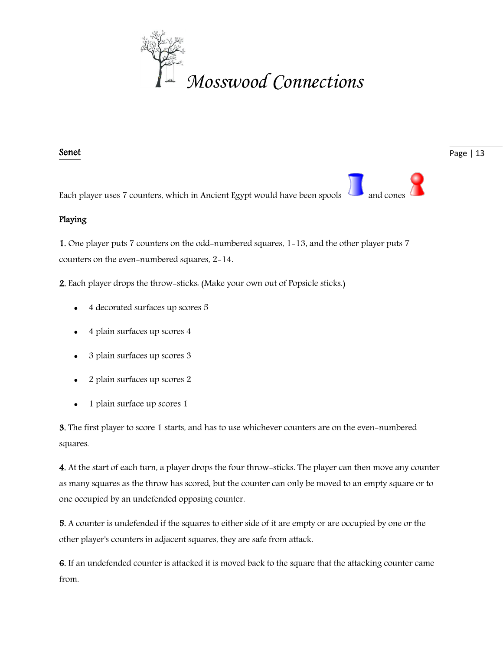

# Senet

Each player uses 7 counters, which in Ancient Egypt would have been spools

# Playing

1. One player puts 7 counters on the odd-numbered squares, 1-13, and the other player puts 7 counters on the even-numbered squares, 2-14.

2. Each player drops the throw-sticks: (Make your own out of Popsicle sticks.)

- 4 decorated surfaces up scores 5
- 4 plain surfaces up scores 4
- 3 plain surfaces up scores 3
- 2 plain surfaces up scores 2
- 1 plain surface up scores 1

3. The first player to score 1 starts, and has to use whichever counters are on the even-numbered squares.

4. At the start of each turn, a player drops the four throw-sticks. The player can then move any counter as many squares as the throw has scored, but the counter can only be moved to an empty square or to one occupied by an undefended opposing counter.

5. A counter is undefended if the squares to either side of it are empty or are occupied by one or the other player's counters in adjacent squares, they are safe from attack.

6. If an undefended counter is attacked it is moved back to the square that the attacking counter came from.

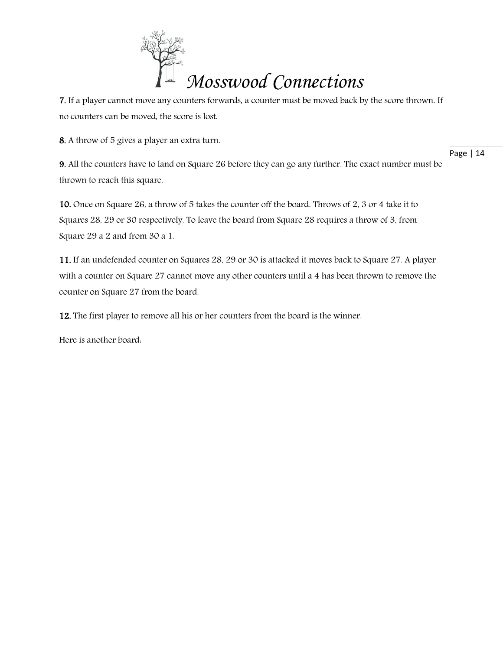

7. If a player cannot move any counters forwards, a counter must be moved back by the score thrown. If no counters can be moved, the score is lost.

8. A throw of 5 gives a player an extra turn.

9. All the counters have to land on Square 26 before they can go any further. The exact number must be thrown to reach this square.

10. Once on Square 26, a throw of 5 takes the counter off the board. Throws of 2, 3 or 4 take it to Squares 28, 29 or 30 respectively. To leave the board from Square 28 requires a throw of 3, from Square 29 a 2 and from 30 a 1.

11. If an undefended counter on Squares 28, 29 or 30 is attacked it moves back to Square 27. A player with a counter on Square 27 cannot move any other counters until a 4 has been thrown to remove the counter on Square 27 from the board.

12. The first player to remove all his or her counters from the board is the winner.

Here is another board: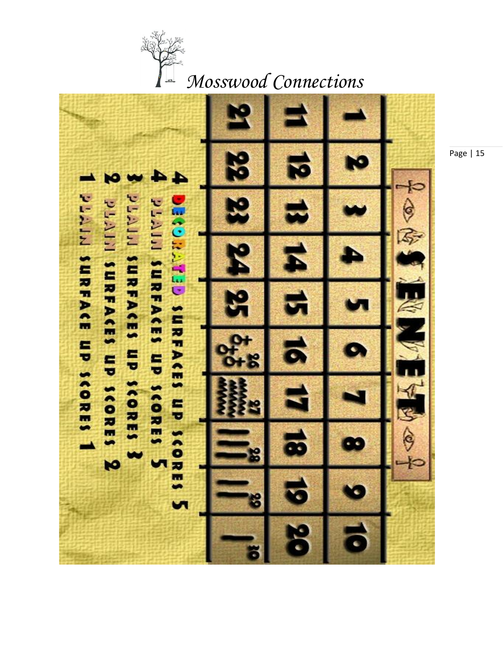